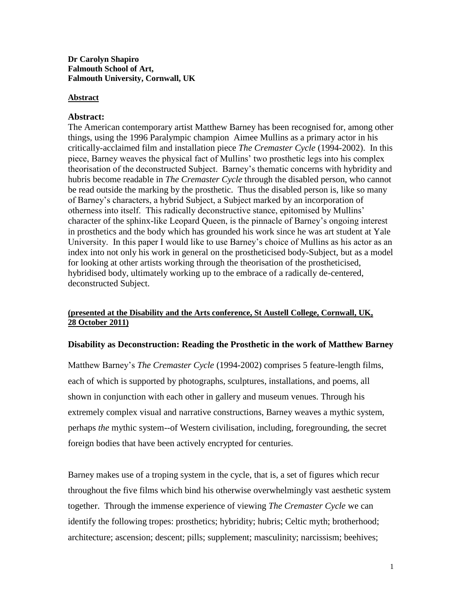### **Dr Carolyn Shapiro Falmouth School of Art, Falmouth University, Cornwall, UK**

### **Abstract**

### **Abstract:**

The American contemporary artist Matthew Barney has been recognised for, among other things, using the 1996 Paralympic champion Aimee Mullins as a primary actor in his critically-acclaimed film and installation piece *The Cremaster Cycle* (1994-2002). In this piece, Barney weaves the physical fact of Mullins' two prosthetic legs into his complex theorisation of the deconstructed Subject. Barney's thematic concerns with hybridity and hubris become readable in *The Cremaster Cycle* through the disabled person, who cannot be read outside the marking by the prosthetic. Thus the disabled person is, like so many of Barney's characters, a hybrid Subject, a Subject marked by an incorporation of otherness into itself. This radically deconstructive stance, epitomised by Mullins' character of the sphinx-like Leopard Queen, is the pinnacle of Barney's ongoing interest in prosthetics and the body which has grounded his work since he was art student at Yale University. In this paper I would like to use Barney's choice of Mullins as his actor as an index into not only his work in general on the prostheticised body-Subject, but as a model for looking at other artists working through the theorisation of the prostheticised, hybridised body, ultimately working up to the embrace of a radically de-centered, deconstructed Subject.

### **(presented at the Disability and the Arts conference, St Austell College, Cornwall, UK, 28 October 2011)**

### **Disability as Deconstruction: Reading the Prosthetic in the work of Matthew Barney**

Matthew Barney's *The Cremaster Cycle* (1994-2002) comprises 5 feature-length films, each of which is supported by photographs, sculptures, installations, and poems, all shown in conjunction with each other in gallery and museum venues. Through his extremely complex visual and narrative constructions, Barney weaves a mythic system, perhaps *the* mythic system--of Western civilisation, including, foregrounding, the secret foreign bodies that have been actively encrypted for centuries.

Barney makes use of a troping system in the cycle, that is, a set of figures which recur throughout the five films which bind his otherwise overwhelmingly vast aesthetic system together. Through the immense experience of viewing *The Cremaster Cycle* we can identify the following tropes: prosthetics; hybridity; hubris; Celtic myth; brotherhood; architecture; ascension; descent; pills; supplement; masculinity; narcissism; beehives;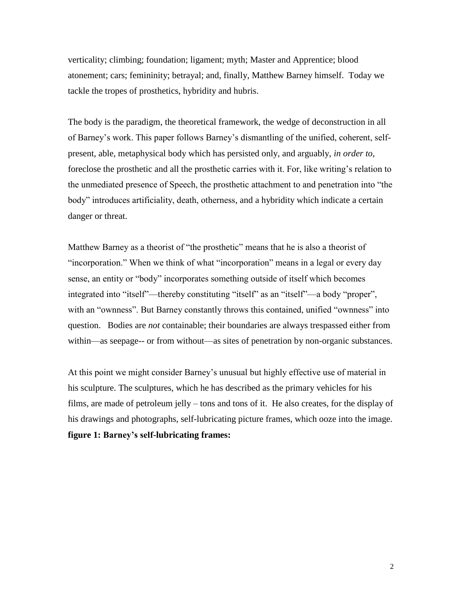verticality; climbing; foundation; ligament; myth; Master and Apprentice; blood atonement; cars; femininity; betrayal; and, finally, Matthew Barney himself. Today we tackle the tropes of prosthetics, hybridity and hubris.

The body is the paradigm, the theoretical framework, the wedge of deconstruction in all of Barney's work. This paper follows Barney's dismantling of the unified, coherent, selfpresent, able, metaphysical body which has persisted only, and arguably, *in order to*, foreclose the prosthetic and all the prosthetic carries with it. For, like writing's relation to the unmediated presence of Speech, the prosthetic attachment to and penetration into "the body" introduces artificiality, death, otherness, and a hybridity which indicate a certain danger or threat.

Matthew Barney as a theorist of "the prosthetic" means that he is also a theorist of "incorporation." When we think of what "incorporation" means in a legal or every day sense, an entity or "body" incorporates something outside of itself which becomes integrated into "itself"—thereby constituting "itself" as an "itself"—a body "proper", with an "ownness". But Barney constantly throws this contained, unified "ownness" into question. Bodies are *not* containable; their boundaries are always trespassed either from within—as seepage-- or from without—as sites of penetration by non-organic substances.

At this point we might consider Barney's unusual but highly effective use of material in his sculpture. The sculptures, which he has described as the primary vehicles for his films, are made of petroleum jelly – tons and tons of it. He also creates, for the display of his drawings and photographs, self-lubricating picture frames, which ooze into the image. **figure 1: Barney's self-lubricating frames:**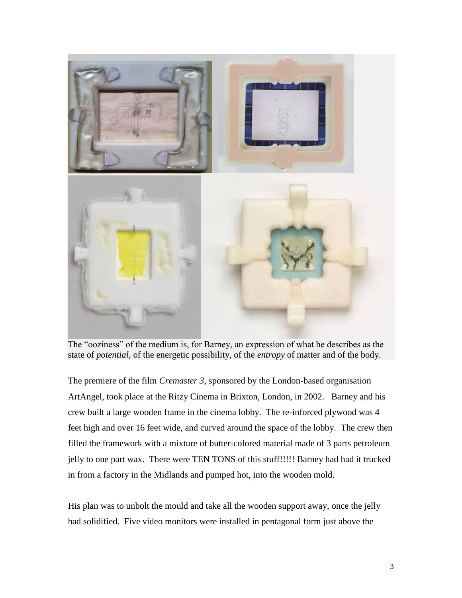

The "ooziness" of the medium is, for Barney, an expression of what he describes as the state of *potential*, of the energetic possibility, of the *entropy* of matter and of the body.

The premiere of the film *Cremaster 3*, sponsored by the London-based organisation ArtAngel, took place at the Ritzy Cinema in Brixton, London, in 2002. Barney and his crew built a large wooden frame in the cinema lobby. The re-inforced plywood was 4 feet high and over 16 feet wide, and curved around the space of the lobby. The crew then filled the framework with a mixture of butter-colored material made of 3 parts petroleum jelly to one part wax. There were TEN TONS of this stuff!!!!! Barney had had it trucked in from a factory in the Midlands and pumped hot, into the wooden mold.

His plan was to unbolt the mould and take all the wooden support away, once the jelly had solidified. Five video monitors were installed in pentagonal form just above the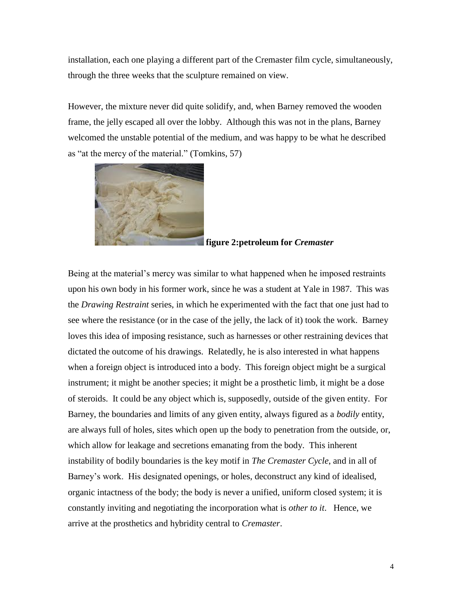installation, each one playing a different part of the Cremaster film cycle, simultaneously, through the three weeks that the sculpture remained on view.

However, the mixture never did quite solidify, and, when Barney removed the wooden frame, the jelly escaped all over the lobby. Although this was not in the plans, Barney welcomed the unstable potential of the medium, and was happy to be what he described as "at the mercy of the material." (Tomkins, 57)



## **figure 2:petroleum for** *Cremaster*

Being at the material's mercy was similar to what happened when he imposed restraints upon his own body in his former work, since he was a student at Yale in 1987. This was the *Drawing Restraint* series, in which he experimented with the fact that one just had to see where the resistance (or in the case of the jelly, the lack of it) took the work. Barney loves this idea of imposing resistance, such as harnesses or other restraining devices that dictated the outcome of his drawings. Relatedly, he is also interested in what happens when a foreign object is introduced into a body. This foreign object might be a surgical instrument; it might be another species; it might be a prosthetic limb, it might be a dose of steroids. It could be any object which is, supposedly, outside of the given entity. For Barney, the boundaries and limits of any given entity, always figured as a *bodily* entity, are always full of holes, sites which open up the body to penetration from the outside, or, which allow for leakage and secretions emanating from the body. This inherent instability of bodily boundaries is the key motif in *The Cremaster Cycle*, and in all of Barney's work. His designated openings, or holes, deconstruct any kind of idealised, organic intactness of the body; the body is never a unified, uniform closed system; it is constantly inviting and negotiating the incorporation what is *other to it*. Hence, we arrive at the prosthetics and hybridity central to *Cremaster*.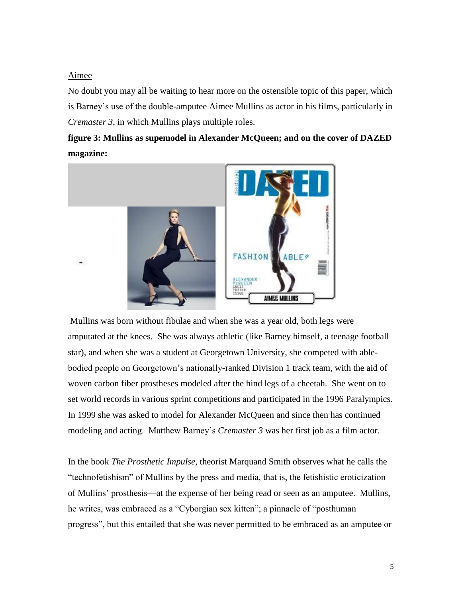### Aimee

No doubt you may all be waiting to hear more on the ostensible topic of this paper, which is Barney's use of the double-amputee Aimee Mullins as actor in his films, particularly in *Cremaster 3*, in which Mullins plays multiple roles.

# **figure 3: Mullins as supemodel in Alexander McQueen; and on the cover of DAZED magazine:**



Mullins was born without fibulae and when she was a year old, both legs were amputated at the knees. She was always athletic (like Barney himself, a teenage football star), and when she was a student at Georgetown University, she competed with ablebodied people on Georgetown's nationally-ranked Division 1 track team, with the aid of woven carbon fiber prostheses modeled after the hind legs of a cheetah. She went on to set world records in various sprint competitions and participated in the 1996 Paralympics. In 1999 she was asked to model for Alexander McQueen and since then has continued modeling and acting. Matthew Barney's *Cremaster 3* was her first job as a film actor.

In the book *The Prosthetic Impulse*, theorist Marquand Smith observes what he calls the ―technofetishism‖ of Mullins by the press and media, that is, the fetishistic eroticization of Mullins' prosthesis—at the expense of her being read or seen as an amputee. Mullins, he writes, was embraced as a "Cyborgian sex kitten"; a pinnacle of "posthuman" progress‖, but this entailed that she was never permitted to be embraced as an amputee or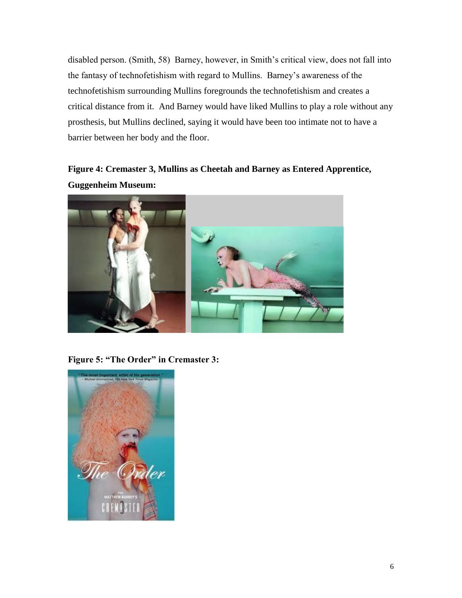disabled person. (Smith, 58) Barney, however, in Smith's critical view, does not fall into the fantasy of technofetishism with regard to Mullins. Barney's awareness of the technofetishism surrounding Mullins foregrounds the technofetishism and creates a critical distance from it. And Barney would have liked Mullins to play a role without any prosthesis, but Mullins declined, saying it would have been too intimate not to have a barrier between her body and the floor.

# **Figure 4: Cremaster 3, Mullins as Cheetah and Barney as Entered Apprentice, Guggenheim Museum:**



**Figure 5: "The Order" in Cremaster 3:**

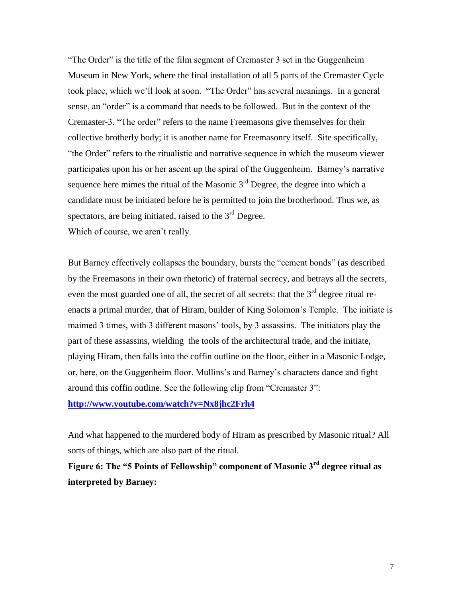"The Order" is the title of the film segment of Cremaster 3 set in the Guggenheim Museum in New York, where the final installation of all 5 parts of the Cremaster Cycle took place, which we'll look at soon. "The Order" has several meanings. In a general sense, an "order" is a command that needs to be followed. But in the context of the Cremaster-3, "The order" refers to the name Freemasons give themselves for their collective brotherly body; it is another name for Freemasonry itself. Site specifically, "the Order" refers to the ritualistic and narrative sequence in which the museum viewer participates upon his or her ascent up the spiral of the Guggenheim. Barney's narrative sequence here mimes the ritual of the Masonic  $3<sup>rd</sup>$  Degree, the degree into which a candidate must be initiated before he is permitted to join the brotherhood. Thus we, as spectators, are being initiated, raised to the  $3<sup>rd</sup>$  Degree. Which of course, we aren't really.

But Barney effectively collapses the boundary, bursts the "cement bonds" (as described by the Freemasons in their own rhetoric) of fraternal secrecy, and betrays all the secrets, even the most guarded one of all, the secret of all secrets: that the  $3<sup>rd</sup>$  degree ritual reenacts a primal murder, that of Hiram, builder of King Solomon's Temple. The initiate is maimed 3 times, with 3 different masons' tools, by 3 assassins. The initiators play the part of these assassins, wielding the tools of the architectural trade, and the initiate, playing Hiram, then falls into the coffin outline on the floor, either in a Masonic Lodge, or, here, on the Guggenheim floor. Mullins's and Barney's characters dance and fight around this coffin outline. See the following clip from "Cremaster 3": **<http://www.youtube.com/watch?v=Nx8jhc2Frh4>**

And what happened to the murdered body of Hiram as prescribed by Masonic ritual? All sorts of things, which are also part of the ritual.

**Figure 6: The "5 Points of Fellowship" component of Masonic 3rd degree ritual as interpreted by Barney:**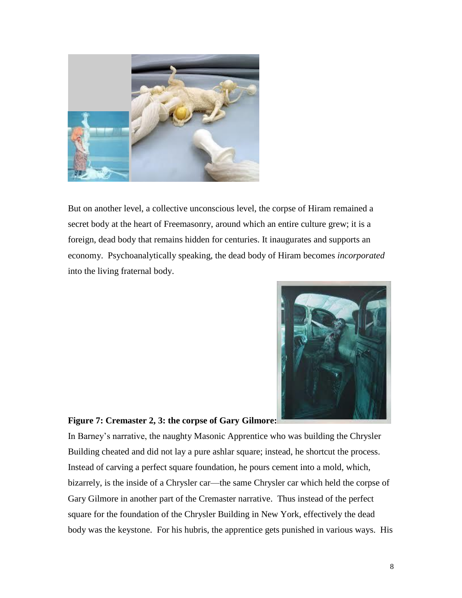

But on another level, a collective unconscious level, the corpse of Hiram remained a secret body at the heart of Freemasonry, around which an entire culture grew; it is a foreign, dead body that remains hidden for centuries. It inaugurates and supports an economy. Psychoanalytically speaking, the dead body of Hiram becomes *incorporated* into the living fraternal body.



#### **Figure 7: Cremaster 2, 3: the corpse of Gary Gilmore:**

In Barney's narrative, the naughty Masonic Apprentice who was building the Chrysler Building cheated and did not lay a pure ashlar square; instead, he shortcut the process. Instead of carving a perfect square foundation, he pours cement into a mold, which, bizarrely, is the inside of a Chrysler car—the same Chrysler car which held the corpse of Gary Gilmore in another part of the Cremaster narrative. Thus instead of the perfect square for the foundation of the Chrysler Building in New York, effectively the dead body was the keystone. For his hubris, the apprentice gets punished in various ways. His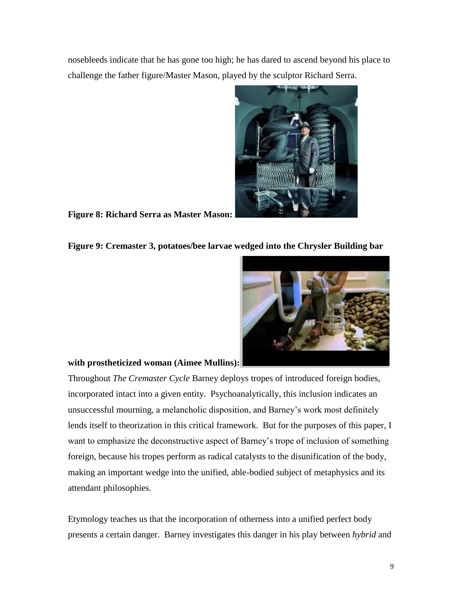nosebleeds indicate that he has gone too high; he has dared to ascend beyond his place to challenge the father figure/Master Mason, played by the sculptor Richard Serra.



**Figure 8: Richard Serra as Master Mason:**

### **Figure 9: Cremaster 3, potatoes/bee larvae wedged into the Chrysler Building bar**



### **with prostheticized woman (Aimee Mullins):**

Throughout *The Cremaster Cycle* Barney deploys tropes of introduced foreign bodies, incorporated intact into a given entity. Psychoanalytically, this inclusion indicates an unsuccessful mourning, a melancholic disposition, and Barney's work most definitely lends itself to theorization in this critical framework. But for the purposes of this paper, I want to emphasize the deconstructive aspect of Barney's trope of inclusion of something foreign, because his tropes perform as radical catalysts to the disunification of the body, making an important wedge into the unified, able-bodied subject of metaphysics and its attendant philosophies.

Etymology teaches us that the incorporation of otherness into a unified perfect body presents a certain danger. Barney investigates this danger in his play between *hybrid* and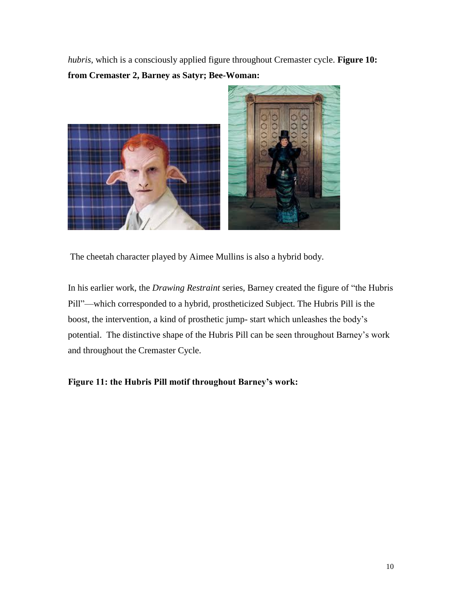*hubris*, which is a consciously applied figure throughout Cremaster cycle. **Figure 10: from Cremaster 2, Barney as Satyr; Bee-Woman:** 



The cheetah character played by Aimee Mullins is also a hybrid body.

In his earlier work, the *Drawing Restraint* series, Barney created the figure of "the Hubris" Pill"—which corresponded to a hybrid, prostheticized Subject. The Hubris Pill is the boost, the intervention, a kind of prosthetic jump- start which unleashes the body's potential. The distinctive shape of the Hubris Pill can be seen throughout Barney's work and throughout the Cremaster Cycle.

# **Figure 11: the Hubris Pill motif throughout Barney's work:**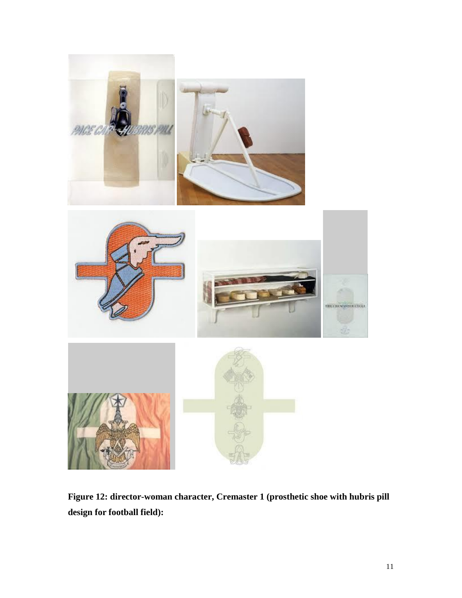

**Figure 12: director-woman character, Cremaster 1 (prosthetic shoe with hubris pill design for football field):**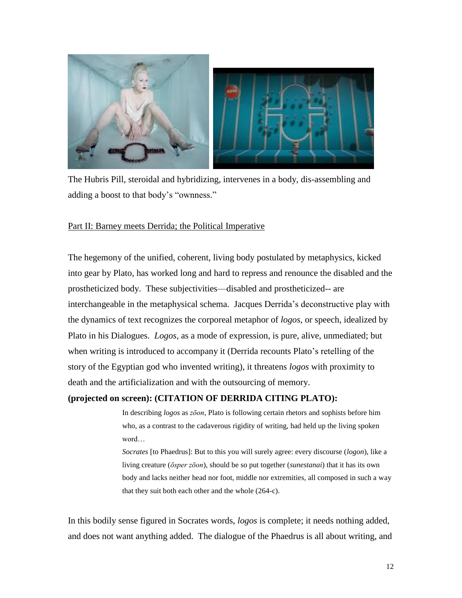

The Hubris Pill, steroidal and hybridizing, intervenes in a body, dis-assembling and adding a boost to that body's "ownness."

### Part II: Barney meets Derrida; the Political Imperative

The hegemony of the unified, coherent, living body postulated by metaphysics, kicked into gear by Plato, has worked long and hard to repress and renounce the disabled and the prostheticized body. These subjectivities—disabled and prostheticized-- are interchangeable in the metaphysical schema. Jacques Derrida's deconstructive play with the dynamics of text recognizes the corporeal metaphor of *logos*, or speech, idealized by Plato in his Dialogues. *Logos*, as a mode of expression, is pure, alive, unmediated; but when writing is introduced to accompany it (Derrida recounts Plato's retelling of the story of the Egyptian god who invented writing), it threatens *logos* with proximity to death and the artificialization and with the outsourcing of memory.

### **(projected on screen): (CITATION OF DERRIDA CITING PLATO):**

In describing *logos* as *zōon*, Plato is following certain rhetors and sophists before him who, as a contrast to the cadaverous rigidity of writing, had held up the living spoken word…

*Socrates* [to Phaedrus]: But to this you will surely agree: every discourse (*logon*), like a living creature (*ōsper zōon*), should be so put together (*sunestanai*) that it has its own body and lacks neither head nor foot, middle nor extremities, all composed in such a way that they suit both each other and the whole (264-c).

In this bodily sense figured in Socrates words, *logos* is complete; it needs nothing added, and does not want anything added. The dialogue of the Phaedrus is all about writing, and